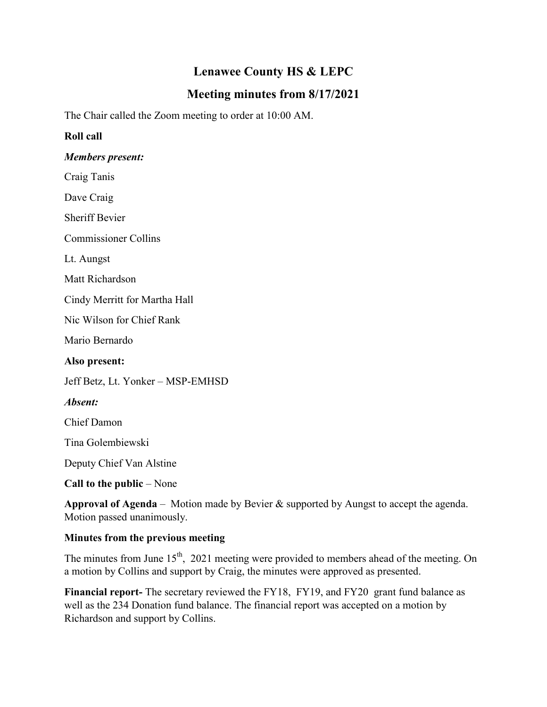# **Lenawee County HS & LEPC**

# **Meeting minutes from 8/17/2021**

The Chair called the Zoom meeting to order at 10:00 AM.

## **Roll call**

#### *Members present:*

Craig Tanis

Dave Craig

Sheriff Bevier

Commissioner Collins

Lt. Aungst

Matt Richardson

Cindy Merritt for Martha Hall

Nic Wilson for Chief Rank

Mario Bernardo

**Also present:**

Jeff Betz, Lt. Yonker – MSP-EMHSD

*Absent:*

Chief Damon

Tina Golembiewski

Deputy Chief Van Alstine

**Call to the public** – None

**Approval of Agenda** – Motion made by Bevier & supported by Aungst to accept the agenda. Motion passed unanimously.

# **Minutes from the previous meeting**

The minutes from June  $15<sup>th</sup>$ , 2021 meeting were provided to members ahead of the meeting. On a motion by Collins and support by Craig, the minutes were approved as presented.

**Financial report-** The secretary reviewed the FY18, FY19, and FY20 grant fund balance as well as the 234 Donation fund balance. The financial report was accepted on a motion by Richardson and support by Collins.